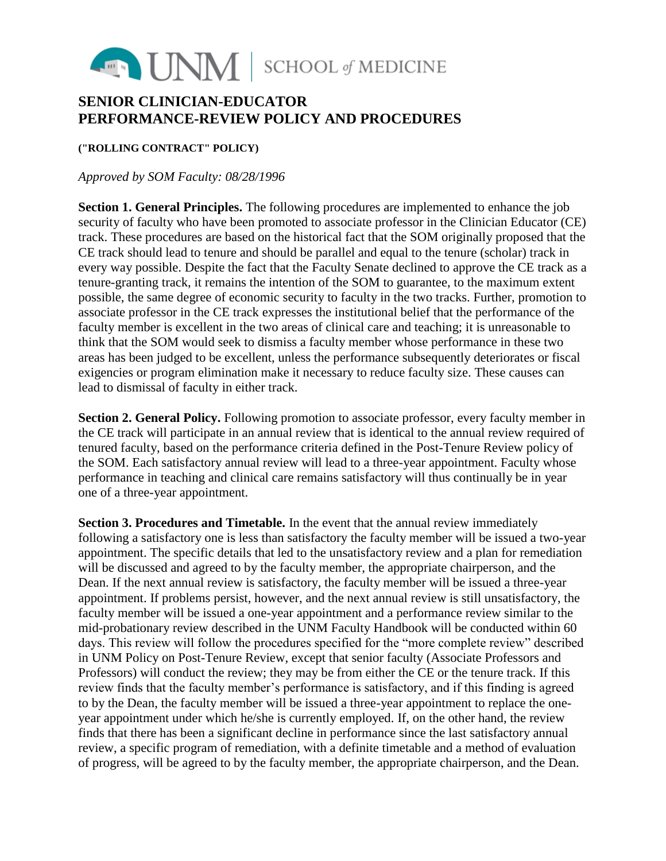

## **SENIOR CLINICIAN-EDUCATOR PERFORMANCE-REVIEW POLICY AND PROCEDURES**

## **("ROLLING CONTRACT" POLICY)**

## *Approved by SOM Faculty: 08/28/1996*

**Section 1. General Principles.** The following procedures are implemented to enhance the job security of faculty who have been promoted to associate professor in the Clinician Educator (CE) track. These procedures are based on the historical fact that the SOM originally proposed that the CE track should lead to tenure and should be parallel and equal to the tenure (scholar) track in every way possible. Despite the fact that the Faculty Senate declined to approve the CE track as a tenure-granting track, it remains the intention of the SOM to guarantee, to the maximum extent possible, the same degree of economic security to faculty in the two tracks. Further, promotion to associate professor in the CE track expresses the institutional belief that the performance of the faculty member is excellent in the two areas of clinical care and teaching; it is unreasonable to think that the SOM would seek to dismiss a faculty member whose performance in these two areas has been judged to be excellent, unless the performance subsequently deteriorates or fiscal exigencies or program elimination make it necessary to reduce faculty size. These causes can lead to dismissal of faculty in either track.

**Section 2. General Policy.** Following promotion to associate professor, every faculty member in the CE track will participate in an annual review that is identical to the annual review required of tenured faculty, based on the performance criteria defined in the Post-Tenure Review policy of the SOM. Each satisfactory annual review will lead to a three-year appointment. Faculty whose performance in teaching and clinical care remains satisfactory will thus continually be in year one of a three-year appointment.

**Section 3. Procedures and Timetable.** In the event that the annual review immediately following a satisfactory one is less than satisfactory the faculty member will be issued a two-year appointment. The specific details that led to the unsatisfactory review and a plan for remediation will be discussed and agreed to by the faculty member, the appropriate chairperson, and the Dean. If the next annual review is satisfactory, the faculty member will be issued a three-year appointment. If problems persist, however, and the next annual review is still unsatisfactory, the faculty member will be issued a one-year appointment and a performance review similar to the mid-probationary review described in the UNM Faculty Handbook will be conducted within 60 days. This review will follow the procedures specified for the "more complete review" described in UNM Policy on Post-Tenure Review, except that senior faculty (Associate Professors and Professors) will conduct the review; they may be from either the CE or the tenure track. If this review finds that the faculty member's performance is satisfactory, and if this finding is agreed to by the Dean, the faculty member will be issued a three-year appointment to replace the oneyear appointment under which he/she is currently employed. If, on the other hand, the review finds that there has been a significant decline in performance since the last satisfactory annual review, a specific program of remediation, with a definite timetable and a method of evaluation of progress, will be agreed to by the faculty member, the appropriate chairperson, and the Dean.